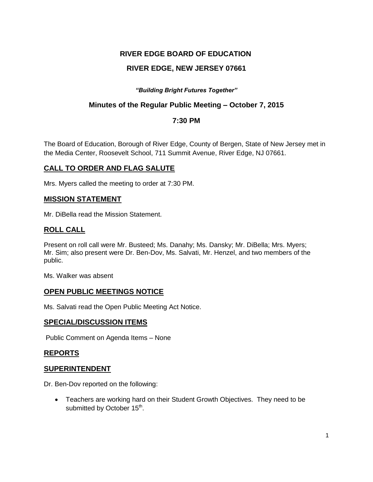# **RIVER EDGE BOARD OF EDUCATION**

# **RIVER EDGE, NEW JERSEY 07661**

#### *"Building Bright Futures Together"*

### **Minutes of the Regular Public Meeting – October 7, 2015**

### **7:30 PM**

The Board of Education, Borough of River Edge, County of Bergen, State of New Jersey met in the Media Center, Roosevelt School, 711 Summit Avenue, River Edge, NJ 07661.

# **CALL TO ORDER AND FLAG SALUTE**

Mrs. Myers called the meeting to order at 7:30 PM.

#### **MISSION STATEMENT**

Mr. DiBella read the Mission Statement.

#### **ROLL CALL**

Present on roll call were Mr. Busteed; Ms. Danahy; Ms. Dansky; Mr. DiBella; Mrs. Myers; Mr. Sim; also present were Dr. Ben-Dov, Ms. Salvati, Mr. Henzel, and two members of the public.

Ms. Walker was absent

### **OPEN PUBLIC MEETINGS NOTICE**

Ms. Salvati read the Open Public Meeting Act Notice.

#### **SPECIAL/DISCUSSION ITEMS**

Public Comment on Agenda Items – None

### **REPORTS**

#### **SUPERINTENDENT**

Dr. Ben-Dov reported on the following:

 Teachers are working hard on their Student Growth Objectives. They need to be submitted by October 15<sup>th</sup>.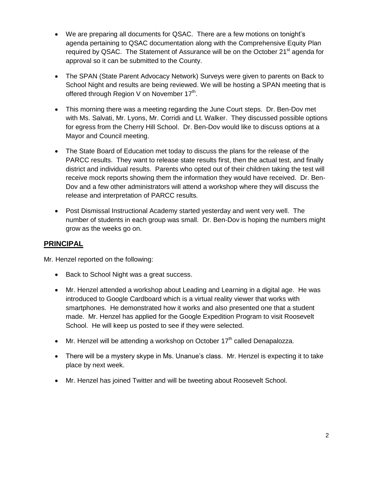- We are preparing all documents for QSAC. There are a few motions on tonight's agenda pertaining to QSAC documentation along with the Comprehensive Equity Plan required by QSAC. The Statement of Assurance will be on the October 21<sup>st</sup> agenda for approval so it can be submitted to the County.
- The SPAN (State Parent Advocacy Network) Surveys were given to parents on Back to School Night and results are being reviewed. We will be hosting a SPAN meeting that is offered through Region V on November  $17<sup>th</sup>$ .
- This morning there was a meeting regarding the June Court steps. Dr. Ben-Dov met with Ms. Salvati, Mr. Lyons, Mr. Corridi and Lt. Walker. They discussed possible options for egress from the Cherry Hill School. Dr. Ben-Dov would like to discuss options at a Mayor and Council meeting.
- The State Board of Education met today to discuss the plans for the release of the PARCC results. They want to release state results first, then the actual test, and finally district and individual results. Parents who opted out of their children taking the test will receive mock reports showing them the information they would have received. Dr. Ben-Dov and a few other administrators will attend a workshop where they will discuss the release and interpretation of PARCC results.
- Post Dismissal Instructional Academy started yesterday and went very well. The number of students in each group was small. Dr. Ben-Dov is hoping the numbers might grow as the weeks go on.

# **PRINCIPAL**

Mr. Henzel reported on the following:

- Back to School Night was a great success.
- Mr. Henzel attended a workshop about Leading and Learning in a digital age. He was introduced to Google Cardboard which is a virtual reality viewer that works with smartphones. He demonstrated how it works and also presented one that a student made. Mr. Henzel has applied for the Google Expedition Program to visit Roosevelt School. He will keep us posted to see if they were selected.
- Mr. Henzel will be attending a workshop on October  $17<sup>th</sup>$  called Denapalozza.
- There will be a mystery skype in Ms. Unanue's class. Mr. Henzel is expecting it to take place by next week.
- Mr. Henzel has joined Twitter and will be tweeting about Roosevelt School.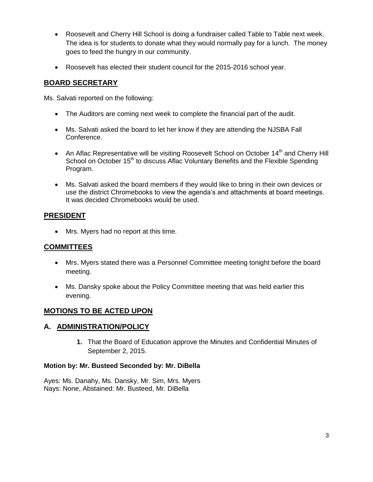- Roosevelt and Cherry Hill School is doing a fundraiser called Table to Table next week. The idea is for students to donate what they would normally pay for a lunch. The money goes to feed the hungry in our community.
- Roosevelt has elected their student council for the 2015-2016 school year.

# **BOARD SECRETARY**

Ms. Salvati reported on the following:

- The Auditors are coming next week to complete the financial part of the audit.
- Ms. Salvati asked the board to let her know if they are attending the NJSBA Fall Conference.
- An Aflac Representative will be visiting Roosevelt School on October  $14<sup>th</sup>$  and Cherry Hill School on October 15<sup>th</sup> to discuss Aflac Voluntary Benefits and the Flexible Spending Program.
- Ms. Salvati asked the board members if they would like to bring in their own devices or use the district Chromebooks to view the agenda's and attachments at board meetings. It was decided Chromebooks would be used.

# **PRESIDENT**

• Mrs. Myers had no report at this time.

# **COMMITTEES**

- Mrs. Myers stated there was a Personnel Committee meeting tonight before the board meeting.
- Ms. Dansky spoke about the Policy Committee meeting that was held earlier this evening.

# **MOTIONS TO BE ACTED UPON**

### **A. ADMINISTRATION/POLICY**

**1.** That the Board of Education approve the Minutes and Confidential Minutes of September 2, 2015.

### **Motion by: Mr. Busteed Seconded by: Mr. DiBella**

Ayes: Ms. Danahy, Ms. Dansky, Mr. Sim, Mrs. Myers Nays: None, Abstained: Mr. Busteed, Mr. DiBella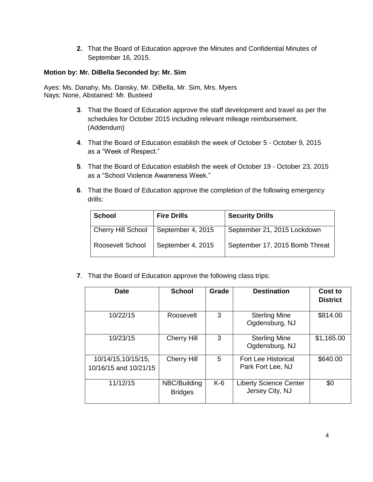**2.** That the Board of Education approve the Minutes and Confidential Minutes of September 16, 2015.

#### **Motion by: Mr. DiBella Seconded by: Mr. Sim**

Ayes: Ms. Danahy, Ms. Dansky, Mr. DiBella, Mr. Sim, Mrs. Myers Nays: None, Abstained: Mr. Busteed

- **3**. That the Board of Education approve the staff development and travel as per the schedules for October 2015 including relevant mileage reimbursement. (Addendum)
- **4**. That the Board of Education establish the week of October 5 October 9, 2015 as a "Week of Respect."
- **5**. That the Board of Education establish the week of October 19 October 23, 2015 as a "School Violence Awareness Week."
- **6**. That the Board of Education approve the completion of the following emergency drills:

| <b>School</b>             | <b>Fire Drills</b> | <b>Security Drills</b>         |
|---------------------------|--------------------|--------------------------------|
| <b>Cherry Hill School</b> | September 4, 2015  | September 21, 2015 Lockdown    |
| <b>Roosevelt School</b>   | September 4, 2015  | September 17, 2015 Bomb Threat |

**7**. That the Board of Education approve the following class trips:

| <b>Date</b>                                 | <b>School</b>                  | Grade | <b>Destination</b>                               | Cost to<br><b>District</b> |
|---------------------------------------------|--------------------------------|-------|--------------------------------------------------|----------------------------|
| 10/22/15                                    | Roosevelt                      | 3     | <b>Sterling Mine</b><br>Ogdensburg, NJ           | \$814.00                   |
| 10/23/15                                    | <b>Cherry Hill</b>             | 3     | <b>Sterling Mine</b><br>Ogdensburg, NJ           | \$1,165.00                 |
| 10/14/15,10/15/15,<br>10/16/15 and 10/21/15 | <b>Cherry Hill</b>             | 5     | Fort Lee Historical<br>Park Fort Lee, NJ         | \$640.00                   |
| 11/12/15                                    | NBC/Building<br><b>Bridges</b> | K-6   | <b>Liberty Science Center</b><br>Jersey City, NJ | \$0                        |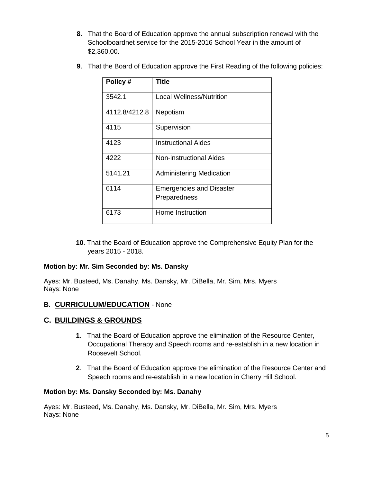- **8**. That the Board of Education approve the annual subscription renewal with the Schoolboardnet service for the 2015-2016 School Year in the amount of \$2,360.00.
- **9**. That the Board of Education approve the First Reading of the following policies:

| Policy#       | <b>Title</b>                    |
|---------------|---------------------------------|
| 3542.1        | Local Wellness/Nutrition        |
| 4112.8/4212.8 | Nepotism                        |
| 4115          | Supervision                     |
| 4123          | <b>Instructional Aides</b>      |
| 4222          | Non-instructional Aides         |
| 5141.21       | <b>Administering Medication</b> |
| 6114          | <b>Emergencies and Disaster</b> |
|               | Preparedness                    |
| 6173          | Home Instruction                |

**10**. That the Board of Education approve the Comprehensive Equity Plan for the years 2015 - 2018.

### **Motion by: Mr. Sim Seconded by: Ms. Dansky**

Ayes: Mr. Busteed, Ms. Danahy, Ms. Dansky, Mr. DiBella, Mr. Sim, Mrs. Myers Nays: None

### **B. CURRICULUM/EDUCATION** - None

### **C. BUILDINGS & GROUNDS**

- **1**. That the Board of Education approve the elimination of the Resource Center, Occupational Therapy and Speech rooms and re-establish in a new location in Roosevelt School.
- **2**. That the Board of Education approve the elimination of the Resource Center and Speech rooms and re-establish in a new location in Cherry Hill School.

#### **Motion by: Ms. Dansky Seconded by: Ms. Danahy**

Ayes: Mr. Busteed, Ms. Danahy, Ms. Dansky, Mr. DiBella, Mr. Sim, Mrs. Myers Nays: None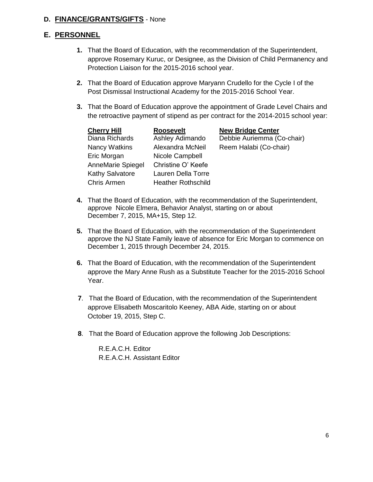### **D. FINANCE/GRANTS/GIFTS** - None

# **E. PERSONNEL**

- **1.** That the Board of Education, with the recommendation of the Superintendent, approve Rosemary Kuruc, or Designee, as the Division of Child Permanency and Protection Liaison for the 2015-2016 school year.
- **2.** That the Board of Education approve Maryann Crudello for the Cycle I of the Post Dismissal Instructional Academy for the 2015-2016 School Year.
- **3.** That the Board of Education approve the appointment of Grade Level Chairs and the retroactive payment of stipend as per contract for the 2014-2015 school year:

| <b>Cherry Hill</b>     | <b>Roosevelt</b>          | <b>New Bridge Center</b>   |
|------------------------|---------------------------|----------------------------|
| Diana Richards         | Ashley Adimando           | Debbie Auriemma (Co-chair) |
| Nancy Watkins          | Alexandra McNeil          | Reem Halabi (Co-chair)     |
| Eric Morgan            | Nicole Campbell           |                            |
| AnneMarie Spiegel      | Christine O' Keefe        |                            |
| <b>Kathy Salvatore</b> | Lauren Della Torre        |                            |
| <b>Chris Armen</b>     | <b>Heather Rothschild</b> |                            |

- **4.** That the Board of Education, with the recommendation of the Superintendent, approve Nicole Elmera, Behavior Analyst, starting on or about December 7, 2015, MA+15, Step 12.
- **5.** That the Board of Education, with the recommendation of the Superintendent approve the NJ State Family leave of absence for Eric Morgan to commence on December 1, 2015 through December 24, 2015.
- **6.** That the Board of Education, with the recommendation of the Superintendent approve the Mary Anne Rush as a Substitute Teacher for the 2015-2016 School Year.
- **7**. That the Board of Education, with the recommendation of the Superintendent approve Elisabeth Moscaritolo Keeney, ABA Aide, starting on or about October 19, 2015, Step C.
- **8**. That the Board of Education approve the following Job Descriptions:

R.E.A.C.H. Editor R.E.A.C.H. Assistant Editor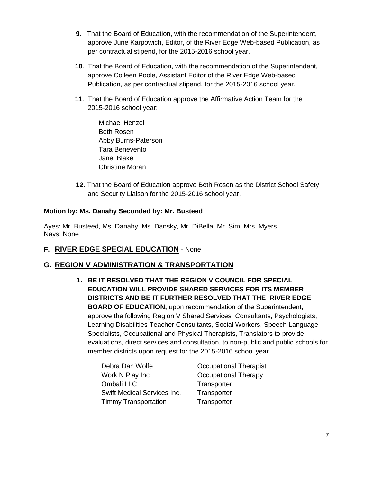- **9**. That the Board of Education, with the recommendation of the Superintendent, approve June Karpowich, Editor, of the River Edge Web-based Publication, as per contractual stipend, for the 2015-2016 school year.
- **10**. That the Board of Education, with the recommendation of the Superintendent, approve Colleen Poole, Assistant Editor of the River Edge Web-based Publication, as per contractual stipend, for the 2015-2016 school year.
- **11**. That the Board of Education approve the Affirmative Action Team for the 2015-2016 school year:
	- Michael Henzel Beth Rosen Abby Burns-Paterson Tara Benevento Janel Blake Christine Moran
- **12**. That the Board of Education approve Beth Rosen as the District School Safety and Security Liaison for the 2015-2016 school year.

### **Motion by: Ms. Danahy Seconded by: Mr. Busteed**

Ayes: Mr. Busteed, Ms. Danahy, Ms. Dansky, Mr. DiBella, Mr. Sim, Mrs. Myers Nays: None

# **F. RIVER EDGE SPECIAL EDUCATION** - None

# **G. REGION V ADMINISTRATION & TRANSPORTATION**

**1. BE IT RESOLVED THAT THE REGION V COUNCIL FOR SPECIAL EDUCATION WILL PROVIDE SHARED SERVICES FOR ITS MEMBER DISTRICTS AND BE IT FURTHER RESOLVED THAT THE RIVER EDGE BOARD OF EDUCATION,** upon recommendation of the Superintendent, approve the following Region V Shared Services Consultants, Psychologists, Learning Disabilities Teacher Consultants, Social Workers, Speech Language Specialists, Occupational and Physical Therapists, Translators to provide evaluations, direct services and consultation, to non-public and public schools for member districts upon request for the 2015-2016 school year.

| Debra Dan Wolfe             | <b>Occupational Therapist</b> |
|-----------------------------|-------------------------------|
| Work N Play Inc             | Occupational Therapy          |
| Ombali LLC                  | Transporter                   |
| Swift Medical Services Inc. | Transporter                   |
| <b>Timmy Transportation</b> | Transporter                   |